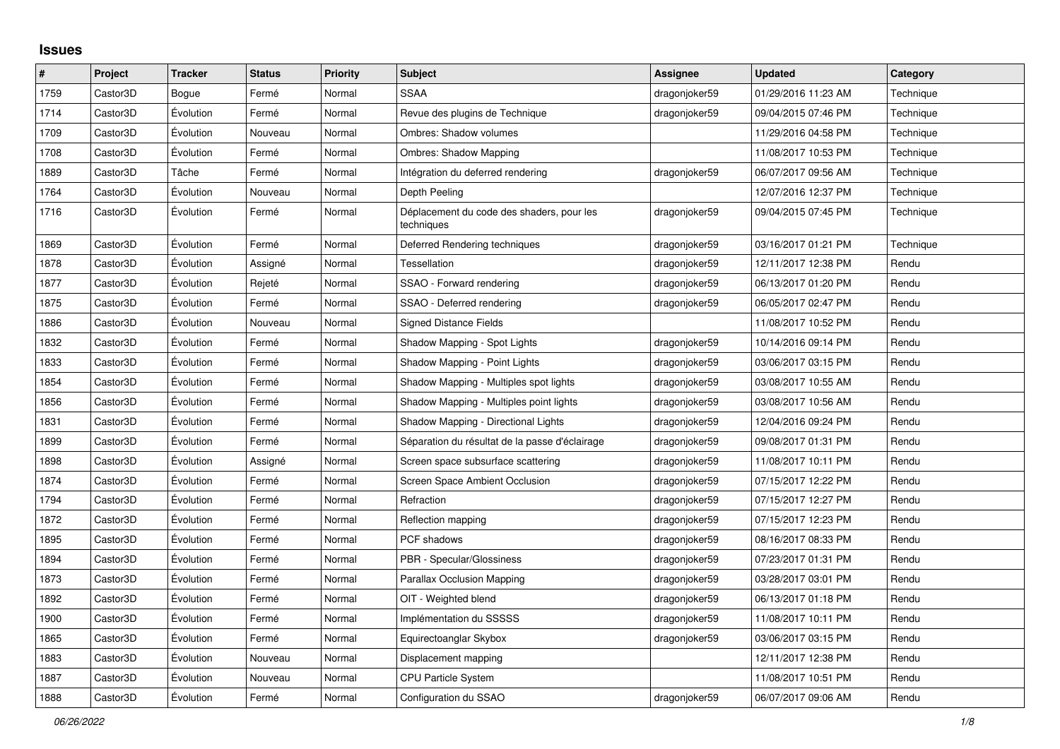## **Issues**

| $\pmb{\#}$ | Project  | <b>Tracker</b> | <b>Status</b> | <b>Priority</b> | <b>Subject</b>                                          | Assignee      | <b>Updated</b>      | Category  |
|------------|----------|----------------|---------------|-----------------|---------------------------------------------------------|---------------|---------------------|-----------|
| 1759       | Castor3D | Bogue          | Fermé         | Normal          | <b>SSAA</b>                                             | dragonjoker59 | 01/29/2016 11:23 AM | Technique |
| 1714       | Castor3D | Évolution      | Fermé         | Normal          | Revue des plugins de Technique                          | dragonjoker59 | 09/04/2015 07:46 PM | Technique |
| 1709       | Castor3D | Évolution      | Nouveau       | Normal          | Ombres: Shadow volumes                                  |               | 11/29/2016 04:58 PM | Technique |
| 1708       | Castor3D | Évolution      | Fermé         | Normal          | Ombres: Shadow Mapping                                  |               | 11/08/2017 10:53 PM | Technique |
| 1889       | Castor3D | Tâche          | Fermé         | Normal          | Intégration du deferred rendering                       | dragonjoker59 | 06/07/2017 09:56 AM | Technique |
| 1764       | Castor3D | Évolution      | Nouveau       | Normal          | Depth Peeling                                           |               | 12/07/2016 12:37 PM | Technique |
| 1716       | Castor3D | Évolution      | Fermé         | Normal          | Déplacement du code des shaders, pour les<br>techniques | dragonjoker59 | 09/04/2015 07:45 PM | Technique |
| 1869       | Castor3D | Évolution      | Fermé         | Normal          | Deferred Rendering techniques                           | dragonjoker59 | 03/16/2017 01:21 PM | Technique |
| 1878       | Castor3D | Évolution      | Assigné       | Normal          | <b>Tessellation</b>                                     | dragonjoker59 | 12/11/2017 12:38 PM | Rendu     |
| 1877       | Castor3D | Évolution      | Rejeté        | Normal          | SSAO - Forward rendering                                | dragonjoker59 | 06/13/2017 01:20 PM | Rendu     |
| 1875       | Castor3D | Évolution      | Fermé         | Normal          | SSAO - Deferred rendering                               | dragonjoker59 | 06/05/2017 02:47 PM | Rendu     |
| 1886       | Castor3D | Évolution      | Nouveau       | Normal          | <b>Signed Distance Fields</b>                           |               | 11/08/2017 10:52 PM | Rendu     |
| 1832       | Castor3D | Évolution      | Fermé         | Normal          | Shadow Mapping - Spot Lights                            | dragonjoker59 | 10/14/2016 09:14 PM | Rendu     |
| 1833       | Castor3D | Évolution      | Fermé         | Normal          | Shadow Mapping - Point Lights                           | dragonjoker59 | 03/06/2017 03:15 PM | Rendu     |
| 1854       | Castor3D | Évolution      | Fermé         | Normal          | Shadow Mapping - Multiples spot lights                  | dragonjoker59 | 03/08/2017 10:55 AM | Rendu     |
| 1856       | Castor3D | Évolution      | Fermé         | Normal          | Shadow Mapping - Multiples point lights                 | dragonjoker59 | 03/08/2017 10:56 AM | Rendu     |
| 1831       | Castor3D | Évolution      | Fermé         | Normal          | Shadow Mapping - Directional Lights                     | dragonjoker59 | 12/04/2016 09:24 PM | Rendu     |
| 1899       | Castor3D | Évolution      | Fermé         | Normal          | Séparation du résultat de la passe d'éclairage          | dragonjoker59 | 09/08/2017 01:31 PM | Rendu     |
| 1898       | Castor3D | Évolution      | Assigné       | Normal          | Screen space subsurface scattering                      | dragonjoker59 | 11/08/2017 10:11 PM | Rendu     |
| 1874       | Castor3D | Évolution      | Fermé         | Normal          | Screen Space Ambient Occlusion                          | dragonjoker59 | 07/15/2017 12:22 PM | Rendu     |
| 1794       | Castor3D | Évolution      | Fermé         | Normal          | Refraction                                              | dragonjoker59 | 07/15/2017 12:27 PM | Rendu     |
| 1872       | Castor3D | Évolution      | Fermé         | Normal          | Reflection mapping                                      | dragonjoker59 | 07/15/2017 12:23 PM | Rendu     |
| 1895       | Castor3D | Évolution      | Fermé         | Normal          | PCF shadows                                             | dragonjoker59 | 08/16/2017 08:33 PM | Rendu     |
| 1894       | Castor3D | Évolution      | Fermé         | Normal          | PBR - Specular/Glossiness                               | dragonjoker59 | 07/23/2017 01:31 PM | Rendu     |
| 1873       | Castor3D | Évolution      | Fermé         | Normal          | <b>Parallax Occlusion Mapping</b>                       | dragonjoker59 | 03/28/2017 03:01 PM | Rendu     |
| 1892       | Castor3D | Évolution      | Fermé         | Normal          | OIT - Weighted blend                                    | dragonjoker59 | 06/13/2017 01:18 PM | Rendu     |
| 1900       | Castor3D | Évolution      | Fermé         | Normal          | Implémentation du SSSSS                                 | dragonjoker59 | 11/08/2017 10:11 PM | Rendu     |
| 1865       | Castor3D | Évolution      | Fermé         | Normal          | Equirectoanglar Skybox                                  | dragonjoker59 | 03/06/2017 03:15 PM | Rendu     |
| 1883       | Castor3D | Évolution      | Nouveau       | Normal          | Displacement mapping                                    |               | 12/11/2017 12:38 PM | Rendu     |
| 1887       | Castor3D | Évolution      | Nouveau       | Normal          | <b>CPU Particle System</b>                              |               | 11/08/2017 10:51 PM | Rendu     |
| 1888       | Castor3D | Évolution      | Fermé         | Normal          | Configuration du SSAO                                   | dragonjoker59 | 06/07/2017 09:06 AM | Rendu     |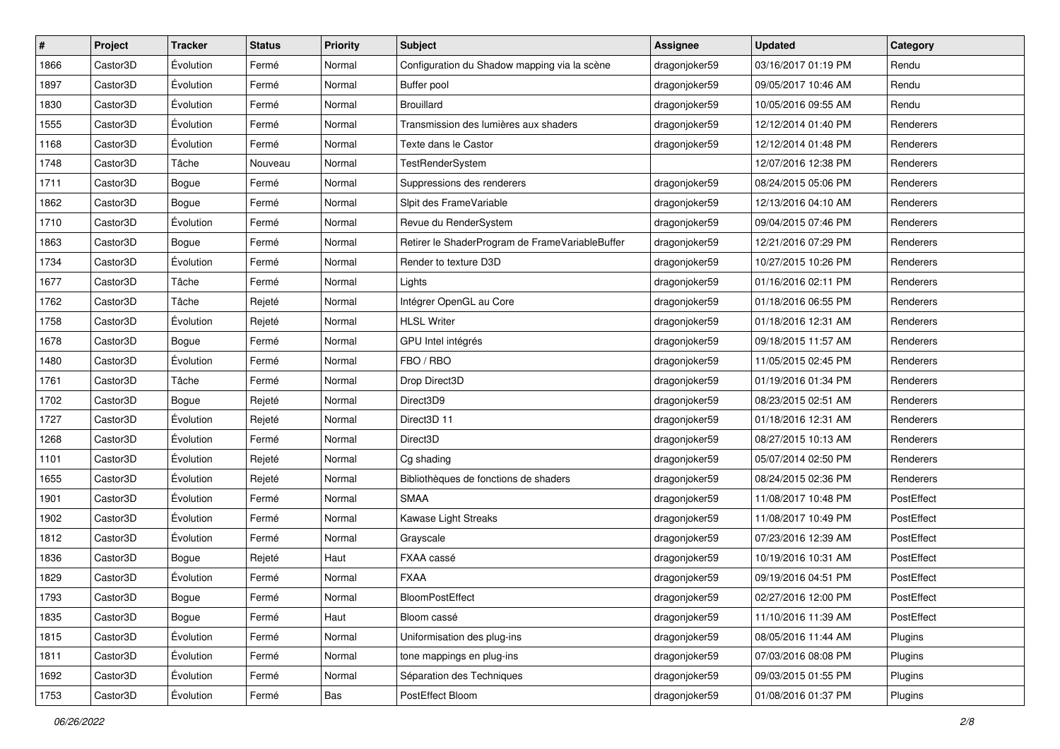| $\sharp$ | Project  | <b>Tracker</b> | <b>Status</b> | <b>Priority</b> | <b>Subject</b>                                  | <b>Assignee</b> | <b>Updated</b>      | Category   |
|----------|----------|----------------|---------------|-----------------|-------------------------------------------------|-----------------|---------------------|------------|
| 1866     | Castor3D | Évolution      | Fermé         | Normal          | Configuration du Shadow mapping via la scène    | dragonjoker59   | 03/16/2017 01:19 PM | Rendu      |
| 1897     | Castor3D | Évolution      | Fermé         | Normal          | Buffer pool                                     | dragonjoker59   | 09/05/2017 10:46 AM | Rendu      |
| 1830     | Castor3D | Évolution      | Fermé         | Normal          | Brouillard                                      | dragonjoker59   | 10/05/2016 09:55 AM | Rendu      |
| 1555     | Castor3D | Évolution      | Fermé         | Normal          | Transmission des lumières aux shaders           | dragonjoker59   | 12/12/2014 01:40 PM | Renderers  |
| 1168     | Castor3D | Évolution      | Fermé         | Normal          | Texte dans le Castor                            | dragonjoker59   | 12/12/2014 01:48 PM | Renderers  |
| 1748     | Castor3D | Tâche          | Nouveau       | Normal          | TestRenderSystem                                |                 | 12/07/2016 12:38 PM | Renderers  |
| 1711     | Castor3D | Bogue          | Fermé         | Normal          | Suppressions des renderers                      | dragonjoker59   | 08/24/2015 05:06 PM | Renderers  |
| 1862     | Castor3D | Bogue          | Fermé         | Normal          | Slpit des FrameVariable                         | dragonjoker59   | 12/13/2016 04:10 AM | Renderers  |
| 1710     | Castor3D | Évolution      | Fermé         | Normal          | Revue du RenderSystem                           | dragonjoker59   | 09/04/2015 07:46 PM | Renderers  |
| 1863     | Castor3D | Bogue          | Fermé         | Normal          | Retirer le ShaderProgram de FrameVariableBuffer | dragonjoker59   | 12/21/2016 07:29 PM | Renderers  |
| 1734     | Castor3D | Évolution      | Fermé         | Normal          | Render to texture D3D                           | dragonjoker59   | 10/27/2015 10:26 PM | Renderers  |
| 1677     | Castor3D | Tâche          | Fermé         | Normal          | Lights                                          | dragonjoker59   | 01/16/2016 02:11 PM | Renderers  |
| 1762     | Castor3D | Tâche          | Rejeté        | Normal          | Intégrer OpenGL au Core                         | dragonjoker59   | 01/18/2016 06:55 PM | Renderers  |
| 1758     | Castor3D | Évolution      | Rejeté        | Normal          | <b>HLSL Writer</b>                              | dragonjoker59   | 01/18/2016 12:31 AM | Renderers  |
| 1678     | Castor3D | Bogue          | Fermé         | Normal          | GPU Intel intégrés                              | dragonjoker59   | 09/18/2015 11:57 AM | Renderers  |
| 1480     | Castor3D | Évolution      | Fermé         | Normal          | FBO / RBO                                       | dragonjoker59   | 11/05/2015 02:45 PM | Renderers  |
| 1761     | Castor3D | Tâche          | Fermé         | Normal          | Drop Direct3D                                   | dragonjoker59   | 01/19/2016 01:34 PM | Renderers  |
| 1702     | Castor3D | Bogue          | Rejeté        | Normal          | Direct3D9                                       | dragonjoker59   | 08/23/2015 02:51 AM | Renderers  |
| 1727     | Castor3D | Évolution      | Rejeté        | Normal          | Direct3D 11                                     | dragonjoker59   | 01/18/2016 12:31 AM | Renderers  |
| 1268     | Castor3D | Évolution      | Fermé         | Normal          | Direct3D                                        | dragonjoker59   | 08/27/2015 10:13 AM | Renderers  |
| 1101     | Castor3D | Évolution      | Rejeté        | Normal          | Cg shading                                      | dragonjoker59   | 05/07/2014 02:50 PM | Renderers  |
| 1655     | Castor3D | Évolution      | Rejeté        | Normal          | Bibliothèques de fonctions de shaders           | dragonjoker59   | 08/24/2015 02:36 PM | Renderers  |
| 1901     | Castor3D | Évolution      | Fermé         | Normal          | <b>SMAA</b>                                     | dragonjoker59   | 11/08/2017 10:48 PM | PostEffect |
| 1902     | Castor3D | Évolution      | Fermé         | Normal          | Kawase Light Streaks                            | dragonjoker59   | 11/08/2017 10:49 PM | PostEffect |
| 1812     | Castor3D | Évolution      | Fermé         | Normal          | Grayscale                                       | dragonjoker59   | 07/23/2016 12:39 AM | PostEffect |
| 1836     | Castor3D | Bogue          | Rejeté        | Haut            | FXAA cassé                                      | dragonjoker59   | 10/19/2016 10:31 AM | PostEffect |
| 1829     | Castor3D | Évolution      | Fermé         | Normal          | <b>FXAA</b>                                     | dragonjoker59   | 09/19/2016 04:51 PM | PostEffect |
| 1793     | Castor3D | Bogue          | Fermé         | Normal          | BloomPostEffect                                 | dragonjoker59   | 02/27/2016 12:00 PM | PostEffect |
| 1835     | Castor3D | Bogue          | Fermé         | Haut            | Bloom cassé                                     | dragonjoker59   | 11/10/2016 11:39 AM | PostEffect |
| 1815     | Castor3D | Évolution      | Fermé         | Normal          | Uniformisation des plug-ins                     | dragonjoker59   | 08/05/2016 11:44 AM | Plugins    |
| 1811     | Castor3D | Évolution      | Fermé         | Normal          | tone mappings en plug-ins                       | dragonjoker59   | 07/03/2016 08:08 PM | Plugins    |
| 1692     | Castor3D | Évolution      | Fermé         | Normal          | Séparation des Techniques                       | dragonjoker59   | 09/03/2015 01:55 PM | Plugins    |
| 1753     | Castor3D | Évolution      | Fermé         | Bas             | PostEffect Bloom                                | dragonjoker59   | 01/08/2016 01:37 PM | Plugins    |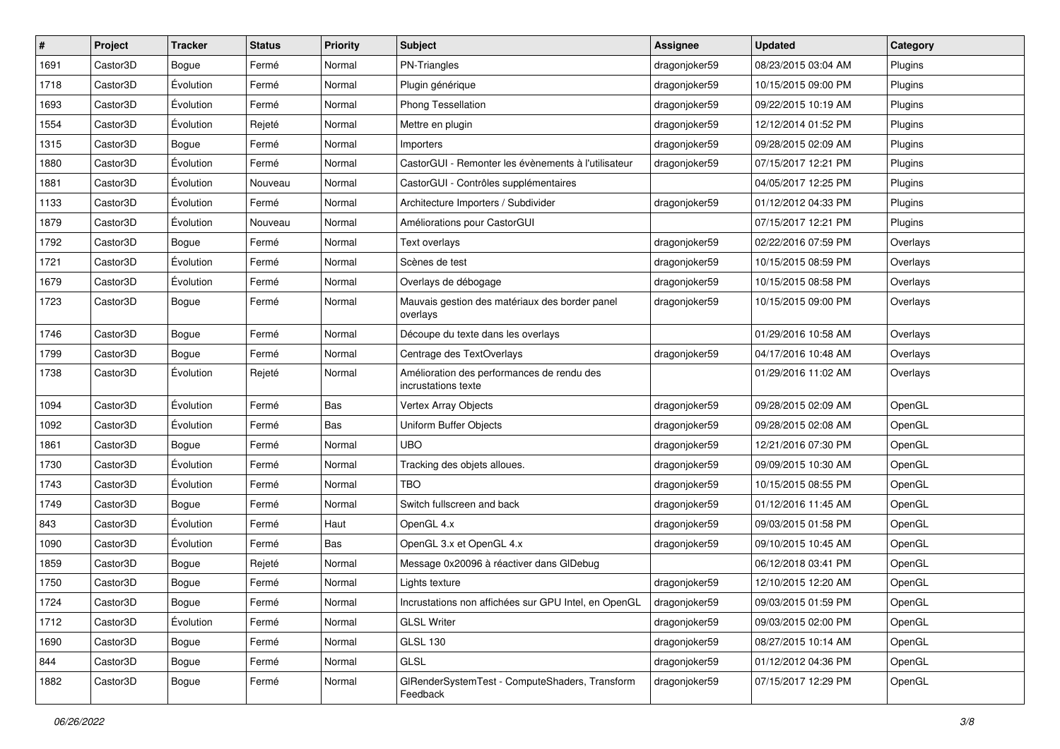| $\sharp$ | Project  | <b>Tracker</b> | <b>Status</b> | <b>Priority</b> | <b>Subject</b>                                                    | <b>Assignee</b> | <b>Updated</b>      | Category |
|----------|----------|----------------|---------------|-----------------|-------------------------------------------------------------------|-----------------|---------------------|----------|
| 1691     | Castor3D | Bogue          | Fermé         | Normal          | PN-Triangles                                                      | dragonjoker59   | 08/23/2015 03:04 AM | Plugins  |
| 1718     | Castor3D | Évolution      | Fermé         | Normal          | Plugin générique                                                  | dragonjoker59   | 10/15/2015 09:00 PM | Plugins  |
| 1693     | Castor3D | Évolution      | Fermé         | Normal          | Phong Tessellation                                                | dragonjoker59   | 09/22/2015 10:19 AM | Plugins  |
| 1554     | Castor3D | Évolution      | Rejeté        | Normal          | Mettre en plugin                                                  | dragonjoker59   | 12/12/2014 01:52 PM | Plugins  |
| 1315     | Castor3D | Bogue          | Fermé         | Normal          | Importers                                                         | dragonjoker59   | 09/28/2015 02:09 AM | Plugins  |
| 1880     | Castor3D | Évolution      | Fermé         | Normal          | CastorGUI - Remonter les évènements à l'utilisateur               | dragonjoker59   | 07/15/2017 12:21 PM | Plugins  |
| 1881     | Castor3D | Évolution      | Nouveau       | Normal          | CastorGUI - Contrôles supplémentaires                             |                 | 04/05/2017 12:25 PM | Plugins  |
| 1133     | Castor3D | Évolution      | Fermé         | Normal          | Architecture Importers / Subdivider                               | dragonjoker59   | 01/12/2012 04:33 PM | Plugins  |
| 1879     | Castor3D | Évolution      | Nouveau       | Normal          | Améliorations pour CastorGUI                                      |                 | 07/15/2017 12:21 PM | Plugins  |
| 1792     | Castor3D | Bogue          | Fermé         | Normal          | Text overlays                                                     | dragonjoker59   | 02/22/2016 07:59 PM | Overlays |
| 1721     | Castor3D | Évolution      | Fermé         | Normal          | Scènes de test                                                    | dragonjoker59   | 10/15/2015 08:59 PM | Overlays |
| 1679     | Castor3D | Évolution      | Fermé         | Normal          | Overlays de débogage                                              | dragonjoker59   | 10/15/2015 08:58 PM | Overlays |
| 1723     | Castor3D | Bogue          | Fermé         | Normal          | Mauvais gestion des matériaux des border panel<br>overlays        | dragonjoker59   | 10/15/2015 09:00 PM | Overlays |
| 1746     | Castor3D | Bogue          | Fermé         | Normal          | Découpe du texte dans les overlays                                |                 | 01/29/2016 10:58 AM | Overlays |
| 1799     | Castor3D | Bogue          | Fermé         | Normal          | Centrage des TextOverlays                                         | dragonjoker59   | 04/17/2016 10:48 AM | Overlays |
| 1738     | Castor3D | Évolution      | Rejeté        | Normal          | Amélioration des performances de rendu des<br>incrustations texte |                 | 01/29/2016 11:02 AM | Overlays |
| 1094     | Castor3D | Évolution      | Fermé         | Bas             | Vertex Array Objects                                              | dragonjoker59   | 09/28/2015 02:09 AM | OpenGL   |
| 1092     | Castor3D | Évolution      | Fermé         | Bas             | Uniform Buffer Objects                                            | dragonjoker59   | 09/28/2015 02:08 AM | OpenGL   |
| 1861     | Castor3D | Bogue          | Fermé         | Normal          | <b>UBO</b>                                                        | dragonjoker59   | 12/21/2016 07:30 PM | OpenGL   |
| 1730     | Castor3D | Évolution      | Fermé         | Normal          | Tracking des objets alloues.                                      | dragonjoker59   | 09/09/2015 10:30 AM | OpenGL   |
| 1743     | Castor3D | Évolution      | Fermé         | Normal          | <b>TBO</b>                                                        | dragonjoker59   | 10/15/2015 08:55 PM | OpenGL   |
| 1749     | Castor3D | Bogue          | Fermé         | Normal          | Switch fullscreen and back                                        | dragonjoker59   | 01/12/2016 11:45 AM | OpenGL   |
| 843      | Castor3D | Évolution      | Fermé         | Haut            | OpenGL 4.x                                                        | dragonjoker59   | 09/03/2015 01:58 PM | OpenGL   |
| 1090     | Castor3D | Évolution      | Fermé         | Bas             | OpenGL 3.x et OpenGL 4.x                                          | dragonjoker59   | 09/10/2015 10:45 AM | OpenGL   |
| 1859     | Castor3D | Bogue          | Rejeté        | Normal          | Message 0x20096 à réactiver dans GIDebug                          |                 | 06/12/2018 03:41 PM | OpenGL   |
| 1750     | Castor3D | Bogue          | Fermé         | Normal          | Lights texture                                                    | dragonjoker59   | 12/10/2015 12:20 AM | OpenGL   |
| 1724     | Castor3D | Bogue          | Fermé         | Normal          | Incrustations non affichées sur GPU Intel, en OpenGL              | dragonjoker59   | 09/03/2015 01:59 PM | OpenGL   |
| 1712     | Castor3D | Évolution      | Fermé         | Normal          | <b>GLSL Writer</b>                                                | dragonjoker59   | 09/03/2015 02:00 PM | OpenGL   |
| 1690     | Castor3D | Bogue          | Fermé         | Normal          | <b>GLSL 130</b>                                                   | dragonjoker59   | 08/27/2015 10:14 AM | OpenGL   |
| 844      | Castor3D | Bogue          | Fermé         | Normal          | GLSL                                                              | dragonjoker59   | 01/12/2012 04:36 PM | OpenGL   |
| 1882     | Castor3D | Bogue          | Fermé         | Normal          | GIRenderSystemTest - ComputeShaders, Transform<br>Feedback        | dragonjoker59   | 07/15/2017 12:29 PM | OpenGL   |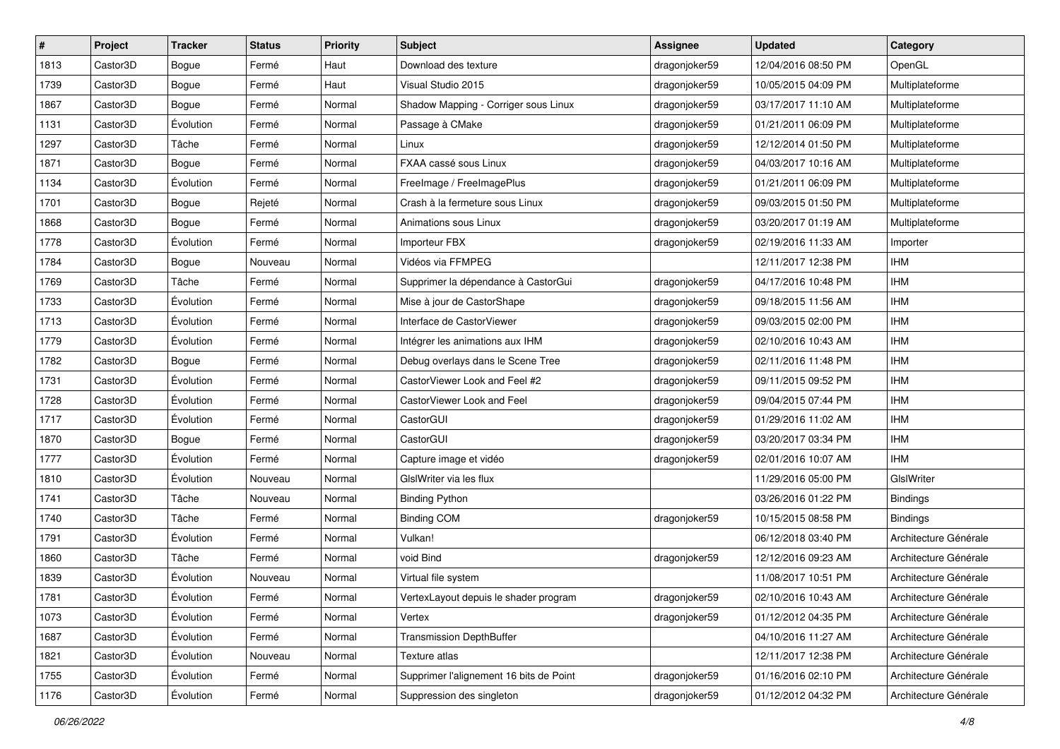| #    | Project  | <b>Tracker</b> | <b>Status</b> | <b>Priority</b> | Subject                                 | <b>Assignee</b> | <b>Updated</b>      | Category              |
|------|----------|----------------|---------------|-----------------|-----------------------------------------|-----------------|---------------------|-----------------------|
| 1813 | Castor3D | Bogue          | Fermé         | Haut            | Download des texture                    | dragonjoker59   | 12/04/2016 08:50 PM | OpenGL                |
| 1739 | Castor3D | Bogue          | Fermé         | Haut            | Visual Studio 2015                      | dragonjoker59   | 10/05/2015 04:09 PM | Multiplateforme       |
| 1867 | Castor3D | Bogue          | Fermé         | Normal          | Shadow Mapping - Corriger sous Linux    | dragonjoker59   | 03/17/2017 11:10 AM | Multiplateforme       |
| 1131 | Castor3D | Évolution      | Fermé         | Normal          | Passage à CMake                         | dragonjoker59   | 01/21/2011 06:09 PM | Multiplateforme       |
| 1297 | Castor3D | Tâche          | Fermé         | Normal          | Linux                                   | dragonjoker59   | 12/12/2014 01:50 PM | Multiplateforme       |
| 1871 | Castor3D | Bogue          | Fermé         | Normal          | FXAA cassé sous Linux                   | dragonjoker59   | 04/03/2017 10:16 AM | Multiplateforme       |
| 1134 | Castor3D | Évolution      | Fermé         | Normal          | FreeImage / FreeImagePlus               | dragonjoker59   | 01/21/2011 06:09 PM | Multiplateforme       |
| 1701 | Castor3D | Bogue          | Rejeté        | Normal          | Crash à la fermeture sous Linux         | dragonjoker59   | 09/03/2015 01:50 PM | Multiplateforme       |
| 1868 | Castor3D | Bogue          | Fermé         | Normal          | Animations sous Linux                   | dragonjoker59   | 03/20/2017 01:19 AM | Multiplateforme       |
| 1778 | Castor3D | Évolution      | Fermé         | Normal          | Importeur FBX                           | dragonjoker59   | 02/19/2016 11:33 AM | Importer              |
| 1784 | Castor3D | Bogue          | Nouveau       | Normal          | Vidéos via FFMPEG                       |                 | 12/11/2017 12:38 PM | <b>IHM</b>            |
| 1769 | Castor3D | Tâche          | Fermé         | Normal          | Supprimer la dépendance à CastorGui     | dragonjoker59   | 04/17/2016 10:48 PM | <b>IHM</b>            |
| 1733 | Castor3D | Évolution      | Fermé         | Normal          | Mise à jour de CastorShape              | dragonjoker59   | 09/18/2015 11:56 AM | <b>IHM</b>            |
| 1713 | Castor3D | Évolution      | Fermé         | Normal          | Interface de CastorViewer               | dragonjoker59   | 09/03/2015 02:00 PM | <b>IHM</b>            |
| 1779 | Castor3D | Évolution      | Fermé         | Normal          | Intégrer les animations aux IHM         | dragonjoker59   | 02/10/2016 10:43 AM | <b>IHM</b>            |
| 1782 | Castor3D | Bogue          | Fermé         | Normal          | Debug overlays dans le Scene Tree       | dragonjoker59   | 02/11/2016 11:48 PM | <b>IHM</b>            |
| 1731 | Castor3D | Évolution      | Fermé         | Normal          | CastorViewer Look and Feel #2           | dragonjoker59   | 09/11/2015 09:52 PM | <b>IHM</b>            |
| 1728 | Castor3D | Évolution      | Fermé         | Normal          | CastorViewer Look and Feel              | dragonjoker59   | 09/04/2015 07:44 PM | <b>IHM</b>            |
| 1717 | Castor3D | Évolution      | Fermé         | Normal          | CastorGUI                               | dragonjoker59   | 01/29/2016 11:02 AM | <b>IHM</b>            |
| 1870 | Castor3D | Bogue          | Fermé         | Normal          | CastorGUI                               | dragonjoker59   | 03/20/2017 03:34 PM | <b>IHM</b>            |
| 1777 | Castor3D | Évolution      | Fermé         | Normal          | Capture image et vidéo                  | dragonjoker59   | 02/01/2016 10:07 AM | <b>IHM</b>            |
| 1810 | Castor3D | Évolution      | Nouveau       | Normal          | GIslWriter via les flux                 |                 | 11/29/2016 05:00 PM | GIslWriter            |
| 1741 | Castor3D | Tâche          | Nouveau       | Normal          | <b>Binding Python</b>                   |                 | 03/26/2016 01:22 PM | <b>Bindings</b>       |
| 1740 | Castor3D | Tâche          | Fermé         | Normal          | <b>Binding COM</b>                      | dragonjoker59   | 10/15/2015 08:58 PM | <b>Bindings</b>       |
| 1791 | Castor3D | Évolution      | Fermé         | Normal          | Vulkan!                                 |                 | 06/12/2018 03:40 PM | Architecture Générale |
| 1860 | Castor3D | Tâche          | Fermé         | Normal          | void Bind                               | dragonjoker59   | 12/12/2016 09:23 AM | Architecture Générale |
| 1839 | Castor3D | Évolution      | Nouveau       | Normal          | Virtual file system                     |                 | 11/08/2017 10:51 PM | Architecture Générale |
| 1781 | Castor3D | Évolution      | Fermé         | Normal          | VertexLayout depuis le shader program   | dragonjoker59   | 02/10/2016 10:43 AM | Architecture Générale |
| 1073 | Castor3D | Évolution      | Fermé         | Normal          | Vertex                                  | dragonjoker59   | 01/12/2012 04:35 PM | Architecture Générale |
| 1687 | Castor3D | Évolution      | Fermé         | Normal          | <b>Transmission DepthBuffer</b>         |                 | 04/10/2016 11:27 AM | Architecture Générale |
| 1821 | Castor3D | Évolution      | Nouveau       | Normal          | Texture atlas                           |                 | 12/11/2017 12:38 PM | Architecture Générale |
| 1755 | Castor3D | Évolution      | Fermé         | Normal          | Supprimer l'alignement 16 bits de Point | dragonjoker59   | 01/16/2016 02:10 PM | Architecture Générale |
| 1176 | Castor3D | Évolution      | Fermé         | Normal          | Suppression des singleton               | dragonjoker59   | 01/12/2012 04:32 PM | Architecture Générale |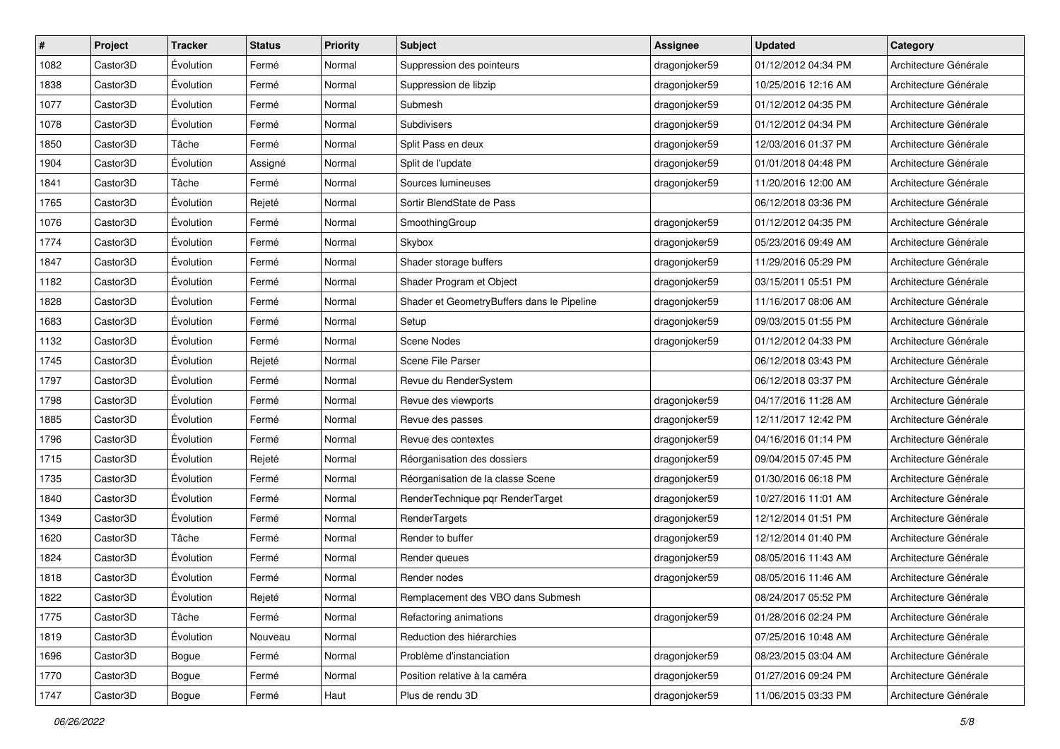| #    | Project  | <b>Tracker</b> | <b>Status</b> | <b>Priority</b> | Subject                                    | <b>Assignee</b> | <b>Updated</b>      | Category              |
|------|----------|----------------|---------------|-----------------|--------------------------------------------|-----------------|---------------------|-----------------------|
| 1082 | Castor3D | Évolution      | Fermé         | Normal          | Suppression des pointeurs                  | dragonjoker59   | 01/12/2012 04:34 PM | Architecture Générale |
| 1838 | Castor3D | Évolution      | Fermé         | Normal          | Suppression de libzip                      | dragonjoker59   | 10/25/2016 12:16 AM | Architecture Générale |
| 1077 | Castor3D | Évolution      | Fermé         | Normal          | Submesh                                    | dragonjoker59   | 01/12/2012 04:35 PM | Architecture Générale |
| 1078 | Castor3D | Évolution      | Fermé         | Normal          | Subdivisers                                | dragonjoker59   | 01/12/2012 04:34 PM | Architecture Générale |
| 1850 | Castor3D | Tâche          | Fermé         | Normal          | Split Pass en deux                         | dragonjoker59   | 12/03/2016 01:37 PM | Architecture Générale |
| 1904 | Castor3D | Évolution      | Assigné       | Normal          | Split de l'update                          | dragonjoker59   | 01/01/2018 04:48 PM | Architecture Générale |
| 1841 | Castor3D | Tâche          | Fermé         | Normal          | Sources lumineuses                         | dragonjoker59   | 11/20/2016 12:00 AM | Architecture Générale |
| 1765 | Castor3D | Évolution      | Rejeté        | Normal          | Sortir BlendState de Pass                  |                 | 06/12/2018 03:36 PM | Architecture Générale |
| 1076 | Castor3D | Évolution      | Fermé         | Normal          | SmoothingGroup                             | dragonjoker59   | 01/12/2012 04:35 PM | Architecture Générale |
| 1774 | Castor3D | Évolution      | Fermé         | Normal          | Skybox                                     | dragonjoker59   | 05/23/2016 09:49 AM | Architecture Générale |
| 1847 | Castor3D | Évolution      | Fermé         | Normal          | Shader storage buffers                     | dragonjoker59   | 11/29/2016 05:29 PM | Architecture Générale |
| 1182 | Castor3D | Évolution      | Fermé         | Normal          | Shader Program et Object                   | dragonjoker59   | 03/15/2011 05:51 PM | Architecture Générale |
| 1828 | Castor3D | Évolution      | Fermé         | Normal          | Shader et GeometryBuffers dans le Pipeline | dragonjoker59   | 11/16/2017 08:06 AM | Architecture Générale |
| 1683 | Castor3D | Évolution      | Fermé         | Normal          | Setup                                      | dragonjoker59   | 09/03/2015 01:55 PM | Architecture Générale |
| 1132 | Castor3D | Évolution      | Fermé         | Normal          | Scene Nodes                                | dragonjoker59   | 01/12/2012 04:33 PM | Architecture Générale |
| 1745 | Castor3D | Évolution      | Rejeté        | Normal          | Scene File Parser                          |                 | 06/12/2018 03:43 PM | Architecture Générale |
| 1797 | Castor3D | Évolution      | Fermé         | Normal          | Revue du RenderSystem                      |                 | 06/12/2018 03:37 PM | Architecture Générale |
| 1798 | Castor3D | Évolution      | Fermé         | Normal          | Revue des viewports                        | dragonjoker59   | 04/17/2016 11:28 AM | Architecture Générale |
| 1885 | Castor3D | Évolution      | Fermé         | Normal          | Revue des passes                           | dragonjoker59   | 12/11/2017 12:42 PM | Architecture Générale |
| 1796 | Castor3D | Évolution      | Fermé         | Normal          | Revue des contextes                        | dragonjoker59   | 04/16/2016 01:14 PM | Architecture Générale |
| 1715 | Castor3D | Évolution      | Rejeté        | Normal          | Réorganisation des dossiers                | dragonjoker59   | 09/04/2015 07:45 PM | Architecture Générale |
| 1735 | Castor3D | Évolution      | Fermé         | Normal          | Réorganisation de la classe Scene          | dragonjoker59   | 01/30/2016 06:18 PM | Architecture Générale |
| 1840 | Castor3D | Évolution      | Fermé         | Normal          | RenderTechnique pqr RenderTarget           | dragonjoker59   | 10/27/2016 11:01 AM | Architecture Générale |
| 1349 | Castor3D | Évolution      | Fermé         | Normal          | RenderTargets                              | dragonjoker59   | 12/12/2014 01:51 PM | Architecture Générale |
| 1620 | Castor3D | Tâche          | Fermé         | Normal          | Render to buffer                           | dragonjoker59   | 12/12/2014 01:40 PM | Architecture Générale |
| 1824 | Castor3D | Évolution      | Fermé         | Normal          | Render queues                              | dragonjoker59   | 08/05/2016 11:43 AM | Architecture Générale |
| 1818 | Castor3D | Évolution      | Fermé         | Normal          | Render nodes                               | dragonjoker59   | 08/05/2016 11:46 AM | Architecture Générale |
| 1822 | Castor3D | Évolution      | Rejeté        | Normal          | Remplacement des VBO dans Submesh          |                 | 08/24/2017 05:52 PM | Architecture Générale |
| 1775 | Castor3D | Tâche          | Fermé         | Normal          | Refactoring animations                     | dragonjoker59   | 01/28/2016 02:24 PM | Architecture Générale |
| 1819 | Castor3D | Évolution      | Nouveau       | Normal          | Reduction des hiérarchies                  |                 | 07/25/2016 10:48 AM | Architecture Générale |
| 1696 | Castor3D | Bogue          | Fermé         | Normal          | Problème d'instanciation                   | dragonjoker59   | 08/23/2015 03:04 AM | Architecture Générale |
| 1770 | Castor3D | Bogue          | Fermé         | Normal          | Position relative à la caméra              | dragonjoker59   | 01/27/2016 09:24 PM | Architecture Générale |
| 1747 | Castor3D | Bogue          | Fermé         | Haut            | Plus de rendu 3D                           | dragonjoker59   | 11/06/2015 03:33 PM | Architecture Générale |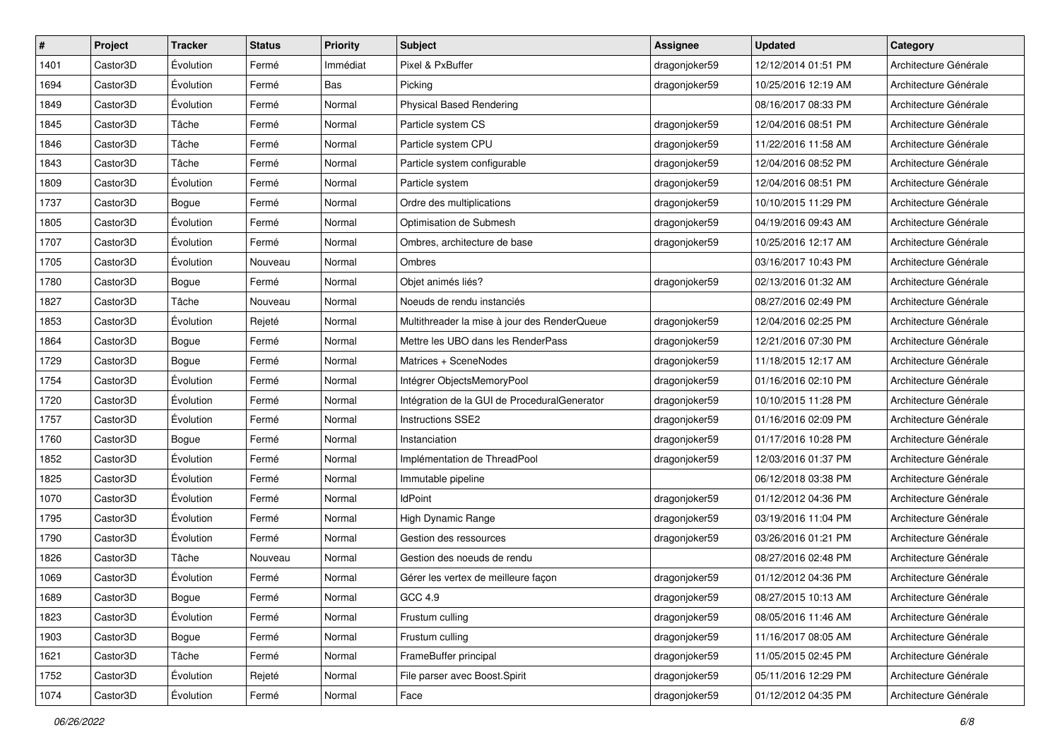| $\vert$ # | Project  | <b>Tracker</b> | <b>Status</b> | Priority | Subject                                      | <b>Assignee</b> | <b>Updated</b>      | Category              |
|-----------|----------|----------------|---------------|----------|----------------------------------------------|-----------------|---------------------|-----------------------|
| 1401      | Castor3D | Évolution      | Fermé         | Immédiat | Pixel & PxBuffer                             | dragonjoker59   | 12/12/2014 01:51 PM | Architecture Générale |
| 1694      | Castor3D | Évolution      | Fermé         | Bas      | Picking                                      | dragonjoker59   | 10/25/2016 12:19 AM | Architecture Générale |
| 1849      | Castor3D | Évolution      | Fermé         | Normal   | <b>Physical Based Rendering</b>              |                 | 08/16/2017 08:33 PM | Architecture Générale |
| 1845      | Castor3D | Tâche          | Fermé         | Normal   | Particle system CS                           | dragonjoker59   | 12/04/2016 08:51 PM | Architecture Générale |
| 1846      | Castor3D | Tâche          | Fermé         | Normal   | Particle system CPU                          | dragonjoker59   | 11/22/2016 11:58 AM | Architecture Générale |
| 1843      | Castor3D | Tâche          | Fermé         | Normal   | Particle system configurable                 | dragonjoker59   | 12/04/2016 08:52 PM | Architecture Générale |
| 1809      | Castor3D | Évolution      | Fermé         | Normal   | Particle system                              | dragonjoker59   | 12/04/2016 08:51 PM | Architecture Générale |
| 1737      | Castor3D | Bogue          | Fermé         | Normal   | Ordre des multiplications                    | dragonjoker59   | 10/10/2015 11:29 PM | Architecture Générale |
| 1805      | Castor3D | Évolution      | Fermé         | Normal   | Optimisation de Submesh                      | dragonjoker59   | 04/19/2016 09:43 AM | Architecture Générale |
| 1707      | Castor3D | Évolution      | Fermé         | Normal   | Ombres, architecture de base                 | dragonjoker59   | 10/25/2016 12:17 AM | Architecture Générale |
| 1705      | Castor3D | Évolution      | Nouveau       | Normal   | Ombres                                       |                 | 03/16/2017 10:43 PM | Architecture Générale |
| 1780      | Castor3D | Bogue          | Fermé         | Normal   | Objet animés liés?                           | dragonjoker59   | 02/13/2016 01:32 AM | Architecture Générale |
| 1827      | Castor3D | Tâche          | Nouveau       | Normal   | Noeuds de rendu instanciés                   |                 | 08/27/2016 02:49 PM | Architecture Générale |
| 1853      | Castor3D | Évolution      | Rejeté        | Normal   | Multithreader la mise à jour des RenderQueue | dragonjoker59   | 12/04/2016 02:25 PM | Architecture Générale |
| 1864      | Castor3D | Bogue          | Fermé         | Normal   | Mettre les UBO dans les RenderPass           | dragonjoker59   | 12/21/2016 07:30 PM | Architecture Générale |
| 1729      | Castor3D | Bogue          | Fermé         | Normal   | Matrices + SceneNodes                        | dragonjoker59   | 11/18/2015 12:17 AM | Architecture Générale |
| 1754      | Castor3D | Évolution      | Fermé         | Normal   | Intégrer ObjectsMemoryPool                   | dragonjoker59   | 01/16/2016 02:10 PM | Architecture Générale |
| 1720      | Castor3D | Évolution      | Fermé         | Normal   | Intégration de la GUI de ProceduralGenerator | dragonjoker59   | 10/10/2015 11:28 PM | Architecture Générale |
| 1757      | Castor3D | Évolution      | Fermé         | Normal   | <b>Instructions SSE2</b>                     | dragonjoker59   | 01/16/2016 02:09 PM | Architecture Générale |
| 1760      | Castor3D | Bogue          | Fermé         | Normal   | Instanciation                                | dragonjoker59   | 01/17/2016 10:28 PM | Architecture Générale |
| 1852      | Castor3D | Évolution      | Fermé         | Normal   | Implémentation de ThreadPool                 | dragonjoker59   | 12/03/2016 01:37 PM | Architecture Générale |
| 1825      | Castor3D | Évolution      | Fermé         | Normal   | Immutable pipeline                           |                 | 06/12/2018 03:38 PM | Architecture Générale |
| 1070      | Castor3D | Évolution      | Fermé         | Normal   | <b>IdPoint</b>                               | dragonjoker59   | 01/12/2012 04:36 PM | Architecture Générale |
| 1795      | Castor3D | Évolution      | Fermé         | Normal   | High Dynamic Range                           | dragonjoker59   | 03/19/2016 11:04 PM | Architecture Générale |
| 1790      | Castor3D | Évolution      | Fermé         | Normal   | Gestion des ressources                       | dragonjoker59   | 03/26/2016 01:21 PM | Architecture Générale |
| 1826      | Castor3D | Tâche          | Nouveau       | Normal   | Gestion des noeuds de rendu                  |                 | 08/27/2016 02:48 PM | Architecture Générale |
| 1069      | Castor3D | Évolution      | Fermé         | Normal   | Gérer les vertex de meilleure facon          | dragonjoker59   | 01/12/2012 04:36 PM | Architecture Générale |
| 1689      | Castor3D | Bogue          | Fermé         | Normal   | GCC 4.9                                      | dragonjoker59   | 08/27/2015 10:13 AM | Architecture Générale |
| 1823      | Castor3D | Évolution      | Fermé         | Normal   | Frustum culling                              | dragonjoker59   | 08/05/2016 11:46 AM | Architecture Générale |
| 1903      | Castor3D | Bogue          | Fermé         | Normal   | Frustum culling                              | dragonjoker59   | 11/16/2017 08:05 AM | Architecture Générale |
| 1621      | Castor3D | Tâche          | Fermé         | Normal   | FrameBuffer principal                        | dragonjoker59   | 11/05/2015 02:45 PM | Architecture Générale |
| 1752      | Castor3D | Évolution      | Rejeté        | Normal   | File parser avec Boost.Spirit                | dragonjoker59   | 05/11/2016 12:29 PM | Architecture Générale |
| 1074      | Castor3D | Évolution      | Fermé         | Normal   | Face                                         | dragonjoker59   | 01/12/2012 04:35 PM | Architecture Générale |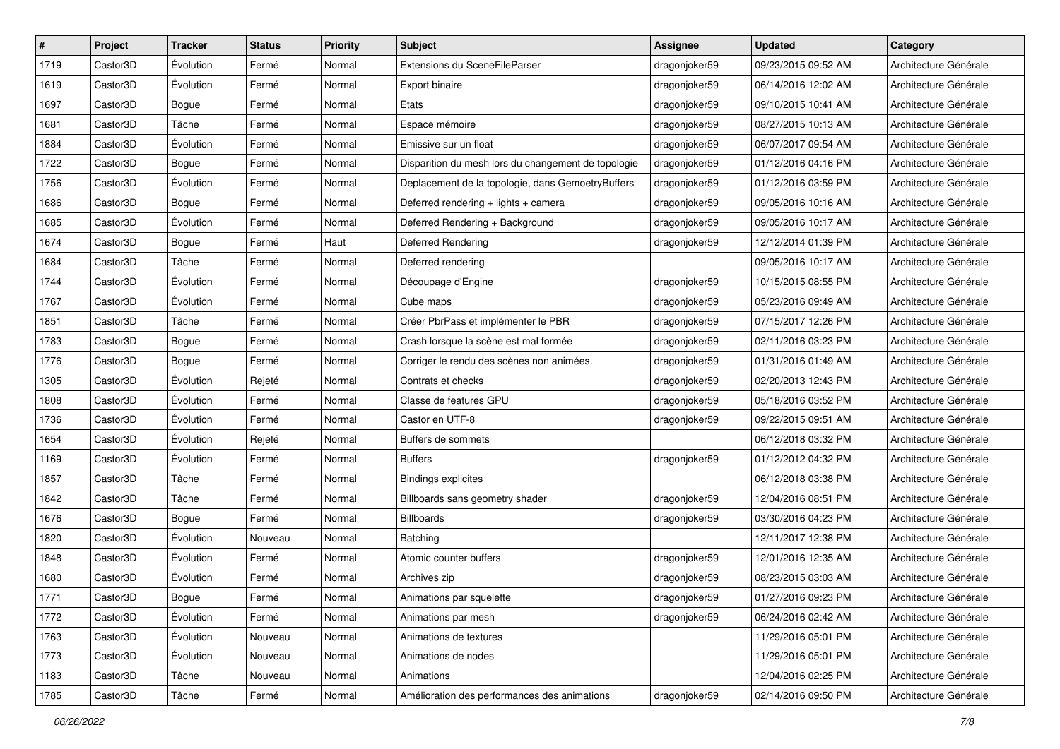| $\pmb{\#}$ | Project               | <b>Tracker</b> | <b>Status</b> | <b>Priority</b> | <b>Subject</b>                                      | <b>Assignee</b> | <b>Updated</b>      | Category              |
|------------|-----------------------|----------------|---------------|-----------------|-----------------------------------------------------|-----------------|---------------------|-----------------------|
| 1719       | Castor3D              | Évolution      | Fermé         | Normal          | Extensions du SceneFileParser                       | dragonjoker59   | 09/23/2015 09:52 AM | Architecture Générale |
| 1619       | Castor3D              | Évolution      | Fermé         | Normal          | Export binaire                                      | dragonjoker59   | 06/14/2016 12:02 AM | Architecture Générale |
| 1697       | Castor3D              | Bogue          | Fermé         | Normal          | Etats                                               | dragonjoker59   | 09/10/2015 10:41 AM | Architecture Générale |
| 1681       | Castor3D              | Tâche          | Fermé         | Normal          | Espace mémoire                                      | dragonjoker59   | 08/27/2015 10:13 AM | Architecture Générale |
| 1884       | Castor3D              | Évolution      | Fermé         | Normal          | Emissive sur un float                               | dragonjoker59   | 06/07/2017 09:54 AM | Architecture Générale |
| 1722       | Castor3D              | Bogue          | Fermé         | Normal          | Disparition du mesh lors du changement de topologie | dragonjoker59   | 01/12/2016 04:16 PM | Architecture Générale |
| 1756       | Castor3D              | Évolution      | Fermé         | Normal          | Deplacement de la topologie, dans GemoetryBuffers   | dragonjoker59   | 01/12/2016 03:59 PM | Architecture Générale |
| 1686       | Castor3D              | Bogue          | Fermé         | Normal          | Deferred rendering + lights + camera                | dragonjoker59   | 09/05/2016 10:16 AM | Architecture Générale |
| 1685       | Castor <sub>3</sub> D | Évolution      | Fermé         | Normal          | Deferred Rendering + Background                     | dragonjoker59   | 09/05/2016 10:17 AM | Architecture Générale |
| 1674       | Castor3D              | Bogue          | Fermé         | Haut            | Deferred Rendering                                  | dragonjoker59   | 12/12/2014 01:39 PM | Architecture Générale |
| 1684       | Castor3D              | Tâche          | Fermé         | Normal          | Deferred rendering                                  |                 | 09/05/2016 10:17 AM | Architecture Générale |
| 1744       | Castor3D              | Évolution      | Fermé         | Normal          | Découpage d'Engine                                  | dragonjoker59   | 10/15/2015 08:55 PM | Architecture Générale |
| 1767       | Castor3D              | Évolution      | Fermé         | Normal          | Cube maps                                           | dragonjoker59   | 05/23/2016 09:49 AM | Architecture Générale |
| 1851       | Castor3D              | Tâche          | Fermé         | Normal          | Créer PbrPass et implémenter le PBR                 | dragonjoker59   | 07/15/2017 12:26 PM | Architecture Générale |
| 1783       | Castor3D              | Bogue          | Fermé         | Normal          | Crash lorsque la scène est mal formée               | dragonjoker59   | 02/11/2016 03:23 PM | Architecture Générale |
| 1776       | Castor3D              | Bogue          | Fermé         | Normal          | Corriger le rendu des scènes non animées.           | dragonjoker59   | 01/31/2016 01:49 AM | Architecture Générale |
| 1305       | Castor3D              | Évolution      | Rejeté        | Normal          | Contrats et checks                                  | dragonjoker59   | 02/20/2013 12:43 PM | Architecture Générale |
| 1808       | Castor3D              | Évolution      | Fermé         | Normal          | Classe de features GPU                              | dragonjoker59   | 05/18/2016 03:52 PM | Architecture Générale |
| 1736       | Castor3D              | Évolution      | Fermé         | Normal          | Castor en UTF-8                                     | dragonjoker59   | 09/22/2015 09:51 AM | Architecture Générale |
| 1654       | Castor3D              | Évolution      | Rejeté        | Normal          | Buffers de sommets                                  |                 | 06/12/2018 03:32 PM | Architecture Générale |
| 1169       | Castor3D              | Évolution      | Fermé         | Normal          | <b>Buffers</b>                                      | dragonjoker59   | 01/12/2012 04:32 PM | Architecture Générale |
| 1857       | Castor3D              | Tâche          | Fermé         | Normal          | <b>Bindings explicites</b>                          |                 | 06/12/2018 03:38 PM | Architecture Générale |
| 1842       | Castor3D              | Tâche          | Fermé         | Normal          | Billboards sans geometry shader                     | dragonjoker59   | 12/04/2016 08:51 PM | Architecture Générale |
| 1676       | Castor3D              | Bogue          | Fermé         | Normal          | Billboards                                          | dragonjoker59   | 03/30/2016 04:23 PM | Architecture Générale |
| 1820       | Castor3D              | Évolution      | Nouveau       | Normal          | Batching                                            |                 | 12/11/2017 12:38 PM | Architecture Générale |
| 1848       | Castor3D              | Évolution      | Fermé         | Normal          | Atomic counter buffers                              | dragonjoker59   | 12/01/2016 12:35 AM | Architecture Générale |
| 1680       | Castor3D              | Évolution      | Fermé         | Normal          | Archives zip                                        | dragonjoker59   | 08/23/2015 03:03 AM | Architecture Générale |
| 1771       | Castor3D              | Bogue          | Fermé         | Normal          | Animations par squelette                            | dragonjoker59   | 01/27/2016 09:23 PM | Architecture Générale |
| 1772       | Castor3D              | Evolution      | Fermé         | Normal          | Animations par mesh                                 | dragonjoker59   | 06/24/2016 02:42 AM | Architecture Générale |
| 1763       | Castor3D              | Évolution      | Nouveau       | Normal          | Animations de textures                              |                 | 11/29/2016 05:01 PM | Architecture Générale |
| 1773       | Castor3D              | Évolution      | Nouveau       | Normal          | Animations de nodes                                 |                 | 11/29/2016 05:01 PM | Architecture Générale |
| 1183       | Castor3D              | Tâche          | Nouveau       | Normal          | Animations                                          |                 | 12/04/2016 02:25 PM | Architecture Générale |
| 1785       | Castor3D              | Tâche          | Fermé         | Normal          | Amélioration des performances des animations        | dragonjoker59   | 02/14/2016 09:50 PM | Architecture Générale |